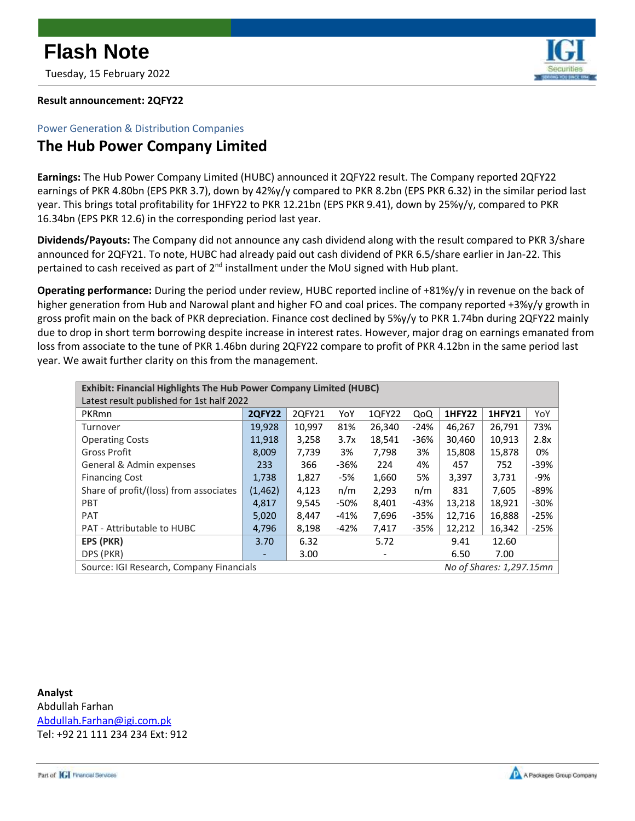

Tuesday, 15 February 2022

## **Result announcement: 2QFY22**

## Power Generation & Distribution Companies

## **The Hub Power Company Limited**

**Earnings:** The Hub Power Company Limited (HUBC) announced it 2QFY22 result. The Company reported 2QFY22 earnings of PKR 4.80bn (EPS PKR 3.7), down by 42%y/y compared to PKR 8.2bn (EPS PKR 6.32) in the similar period last year. This brings total profitability for 1HFY22 to PKR 12.21bn (EPS PKR 9.41), down by 25%y/y, compared to PKR 16.34bn (EPS PKR 12.6) in the corresponding period last year.

**Dividends/Payouts:** The Company did not announce any cash dividend along with the result compared to PKR 3/share announced for 2QFY21. To note, HUBC had already paid out cash dividend of PKR 6.5/share earlier in Jan-22. This pertained to cash received as part of  $2<sup>nd</sup>$  installment under the MoU signed with Hub plant.

**Operating performance:** During the period under review, HUBC reported incline of +81%y/y in revenue on the back of higher generation from Hub and Narowal plant and higher FO and coal prices. The company reported +3%y/y growth in gross profit main on the back of PKR depreciation. Finance cost declined by 5%y/y to PKR 1.74bn during 2QFY22 mainly due to drop in short term borrowing despite increase in interest rates. However, major drag on earnings emanated from loss from associate to the tune of PKR 1.46bn during 2QFY22 compare to profit of PKR 4.12bn in the same period last year. We await further clarity on this from the management.

| Exhibit: Financial Highlights The Hub Power Company Limited (HUBC)   |               |        |        |        |        |               |               |        |
|----------------------------------------------------------------------|---------------|--------|--------|--------|--------|---------------|---------------|--------|
| Latest result published for 1st half 2022                            |               |        |        |        |        |               |               |        |
| PKRmn                                                                | <b>2QFY22</b> | 2QFY21 | YoY    | 1QFY22 | QoQ    | <b>1HFY22</b> | <b>1HFY21</b> | YoY    |
| Turnover                                                             | 19,928        | 10,997 | 81%    | 26,340 | $-24%$ | 46,267        | 26,791        | 73%    |
| <b>Operating Costs</b>                                               | 11,918        | 3,258  | 3.7x   | 18,541 | $-36%$ | 30,460        | 10,913        | 2.8x   |
| Gross Profit                                                         | 8,009         | 7.739  | 3%     | 7,798  | 3%     | 15,808        | 15,878        | 0%     |
| General & Admin expenses                                             | 233           | 366    | $-36%$ | 224    | 4%     | 457           | 752           | $-39%$ |
| <b>Financing Cost</b>                                                | 1,738         | 1,827  | -5%    | 1,660  | 5%     | 3,397         | 3,731         | -9%    |
| Share of profit/(loss) from associates                               | (1, 462)      | 4,123  | n/m    | 2,293  | n/m    | 831           | 7,605         | -89%   |
| <b>PBT</b>                                                           | 4,817         | 9,545  | -50%   | 8,401  | -43%   | 13,218        | 18,921        | $-30%$ |
| <b>PAT</b>                                                           | 5,020         | 8,447  | $-41%$ | 7,696  | $-35%$ | 12,716        | 16,888        | $-25%$ |
| <b>PAT - Attributable to HUBC</b>                                    | 4,796         | 8,198  | -42%   | 7,417  | $-35%$ | 12,212        | 16,342        | $-25%$ |
| EPS (PKR)                                                            | 3.70          | 6.32   |        | 5.72   |        | 9.41          | 12.60         |        |
| DPS (PKR)                                                            |               | 3.00   |        |        |        | 6.50          | 7.00          |        |
| No of Shares: 1,297.15mn<br>Source: IGI Research, Company Financials |               |        |        |        |        |               |               |        |

**Analyst** Abdullah Farhan [Abdullah.Farhan@igi.com.pk](mailto:Abdullah.Farhan@igi.com.pk) Tel: +92 21 111 234 234 Ext: 912

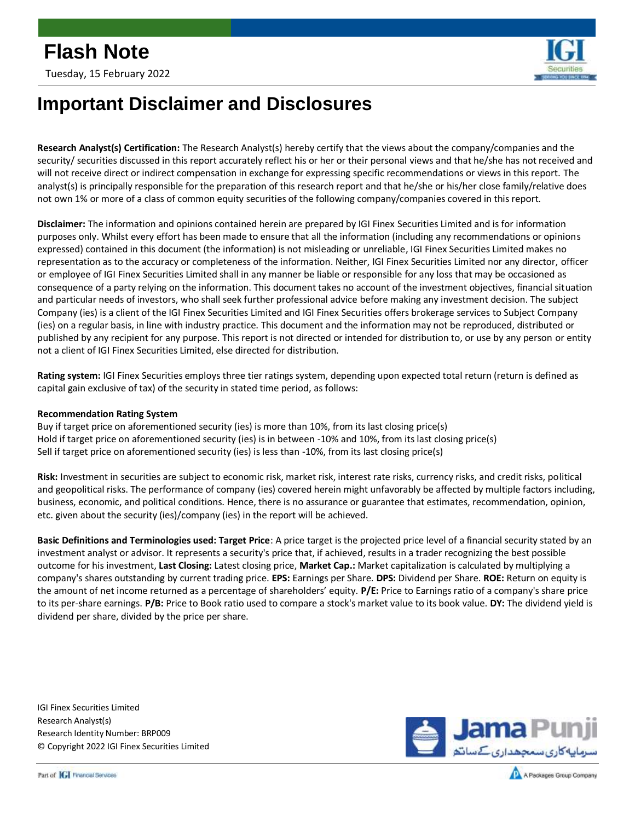

## **Important Disclaimer and Disclosures**

**Research Analyst(s) Certification:** The Research Analyst(s) hereby certify that the views about the company/companies and the security/ securities discussed in this report accurately reflect his or her or their personal views and that he/she has not received and will not receive direct or indirect compensation in exchange for expressing specific recommendations or views in this report. The analyst(s) is principally responsible for the preparation of this research report and that he/she or his/her close family/relative does not own 1% or more of a class of common equity securities of the following company/companies covered in this report.

**Disclaimer:** The information and opinions contained herein are prepared by IGI Finex Securities Limited and is for information purposes only. Whilst every effort has been made to ensure that all the information (including any recommendations or opinions expressed) contained in this document (the information) is not misleading or unreliable, IGI Finex Securities Limited makes no representation as to the accuracy or completeness of the information. Neither, IGI Finex Securities Limited nor any director, officer or employee of IGI Finex Securities Limited shall in any manner be liable or responsible for any loss that may be occasioned as consequence of a party relying on the information. This document takes no account of the investment objectives, financial situation and particular needs of investors, who shall seek further professional advice before making any investment decision. The subject Company (ies) is a client of the IGI Finex Securities Limited and IGI Finex Securities offers brokerage services to Subject Company (ies) on a regular basis, in line with industry practice. This document and the information may not be reproduced, distributed or published by any recipient for any purpose. This report is not directed or intended for distribution to, or use by any person or entity not a client of IGI Finex Securities Limited, else directed for distribution.

**Rating system:** IGI Finex Securities employs three tier ratings system, depending upon expected total return (return is defined as capital gain exclusive of tax) of the security in stated time period, as follows:

### **Recommendation Rating System**

Buy if target price on aforementioned security (ies) is more than 10%, from its last closing price(s) Hold if target price on aforementioned security (ies) is in between -10% and 10%, from its last closing price(s) Sell if target price on aforementioned security (ies) is less than -10%, from its last closing price(s)

**Risk:** Investment in securities are subject to economic risk, market risk, interest rate risks, currency risks, and credit risks, political and geopolitical risks. The performance of company (ies) covered herein might unfavorably be affected by multiple factors including, business, economic, and political conditions. Hence, there is no assurance or guarantee that estimates, recommendation, opinion, etc. given about the security (ies)/company (ies) in the report will be achieved.

**Basic Definitions and Terminologies used: Target Price**: A price target is the projected price level of a financial security stated by an investment analyst or advisor. It represents a security's price that, if achieved, results in a trader recognizing the best possible outcome for his investment, **Last Closing:** Latest closing price, **Market Cap.:** Market capitalization is calculated by multiplying a company's shares outstanding by current trading price. **EPS:** Earnings per Share. **DPS:** Dividend per Share. **ROE:** Return on equity is the amount of net income returned as a percentage of shareholders' equity. **P/E:** Price to Earnings ratio of a company's share price to its per-share earnings. **P/B:** Price to Book ratio used to compare a stock's market value to its book value. **DY:** The dividend yield is dividend per share, divided by the price per share.

IGI Finex Securities Limited Research Analyst(s) Research Identity Number: BRP009 © Copyright 2022 IGI Finex Securities Limited



Part of **GI** Financial Services

A Packages Group Company